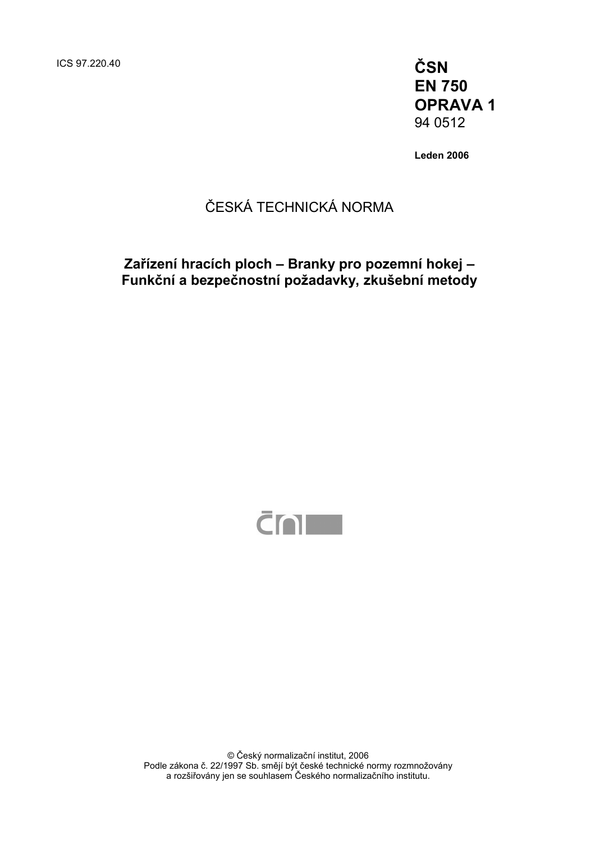ICS 97.220.40 **ČSN** 

**EN 750 OPRAVA 1**  94 0512

**Leden 2006** 

## ČESKÁ TECHNICKÁ NORMA

### **Zařízení hracích ploch – Branky pro pozemní hokej – Funkční a bezpečnostní požadavky, zkušební metody**



© Český normalizační institut, 2006 Podle zákona č. 22/1997 Sb. smějí být české technické normy rozmnožovány a rozšiřovány jen se souhlasem Českého normalizačního institutu.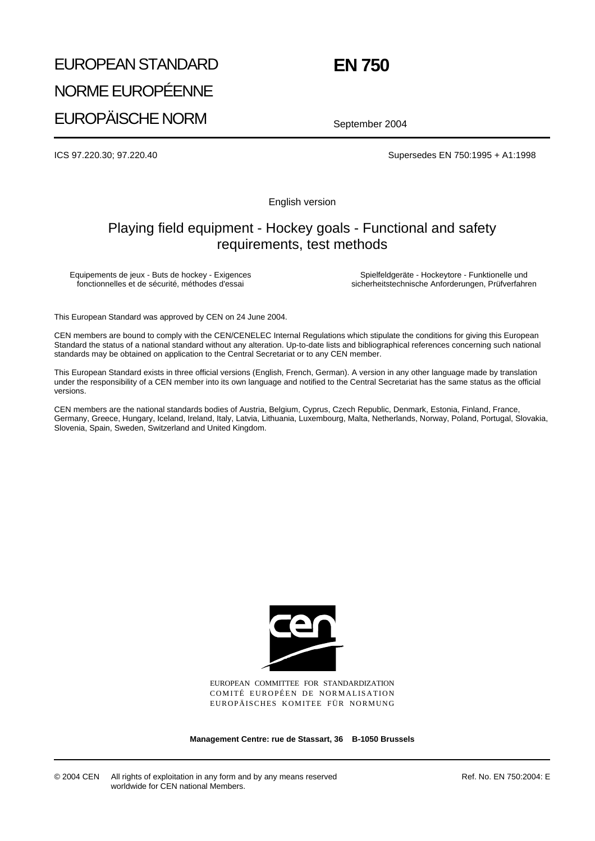# EUROPEAN STANDARD NORME EUROPÉENNE EUROPÄISCHE NORM

## **EN 750**

September 2004

ICS 97.220.30; 97.220.40 Supersedes EN 750:1995 + A1:1998

English version

## Playing field equipment - Hockey goals - Functional and safety requirements, test methods

Equipements de jeux - Buts de hockey - Exigences fonctionnelles et de sécurité, méthodes d'essai

Spielfeldgeräte - Hockeytore - Funktionelle und sicherheitstechnische Anforderungen, Prüfverfahren

This European Standard was approved by CEN on 24 June 2004.

CEN members are bound to comply with the CEN/CENELEC Internal Regulations which stipulate the conditions for giving this European Standard the status of a national standard without any alteration. Up-to-date lists and bibliographical references concerning such national standards may be obtained on application to the Central Secretariat or to any CEN member.

This European Standard exists in three official versions (English, French, German). A version in any other language made by translation under the responsibility of a CEN member into its own language and notified to the Central Secretariat has the same status as the official versions.

CEN members are the national standards bodies of Austria, Belgium, Cyprus, Czech Republic, Denmark, Estonia, Finland, France, Germany, Greece, Hungary, Iceland, Ireland, Italy, Latvia, Lithuania, Luxembourg, Malta, Netherlands, Norway, Poland, Portugal, Slovakia, Slovenia, Spain, Sweden, Switzerland and United Kingdom.



EUROPEAN COMMITTEE FOR STANDARDIZATION COMITÉ EUROPÉEN DE NORMALISATION EUROPÄISCHES KOMITEE FÜR NORMUNG

**Management Centre: rue de Stassart, 36 B-1050 Brussels**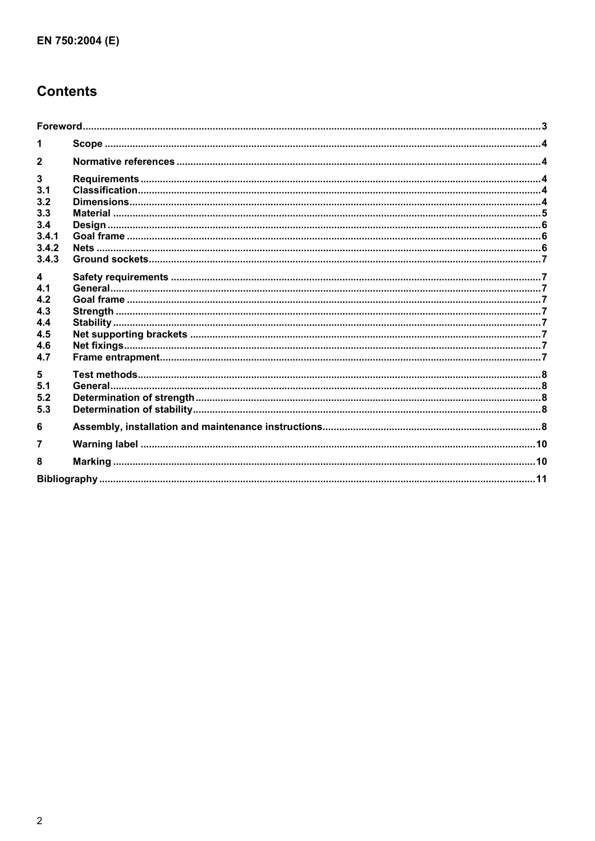## **Contents**

| 1                       |  |
|-------------------------|--|
| $\mathbf{2}$            |  |
| $\mathbf{3}$            |  |
| 3.1                     |  |
| 3.2                     |  |
| 3.3                     |  |
| 3.4                     |  |
| 3.4.1                   |  |
| 3.4.2                   |  |
| 3.4.3                   |  |
| $\overline{\mathbf{4}}$ |  |
| 4.1                     |  |
| 4.2                     |  |
| 4.3                     |  |
| 4.4                     |  |
| 4.5                     |  |
| 4.6                     |  |
| 4.7                     |  |
| 5                       |  |
| 5.1                     |  |
| 5.2                     |  |
| 5.3                     |  |
| 6                       |  |
| 7                       |  |
| 8                       |  |
|                         |  |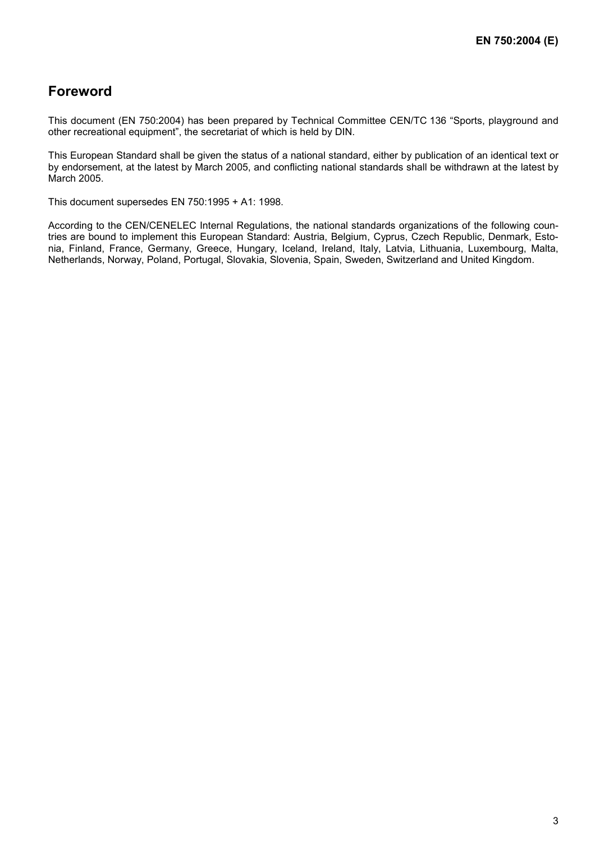## **Foreword**

This document (EN 750:2004) has been prepared by Technical Committee CEN/TC 136 "Sports, playground and other recreational equipment", the secretariat of which is held by DIN.

This European Standard shall be given the status of a national standard, either by publication of an identical text or by endorsement, at the latest by March 2005, and conflicting national standards shall be withdrawn at the latest by March 2005.

This document supersedes EN 750:1995 + A1: 1998.

According to the CEN/CENELEC Internal Regulations, the national standards organizations of the following countries are bound to implement this European Standard: Austria, Belgium, Cyprus, Czech Republic, Denmark, Estonia, Finland, France, Germany, Greece, Hungary, Iceland, Ireland, Italy, Latvia, Lithuania, Luxembourg, Malta, Netherlands, Norway, Poland, Portugal, Slovakia, Slovenia, Spain, Sweden, Switzerland and United Kingdom.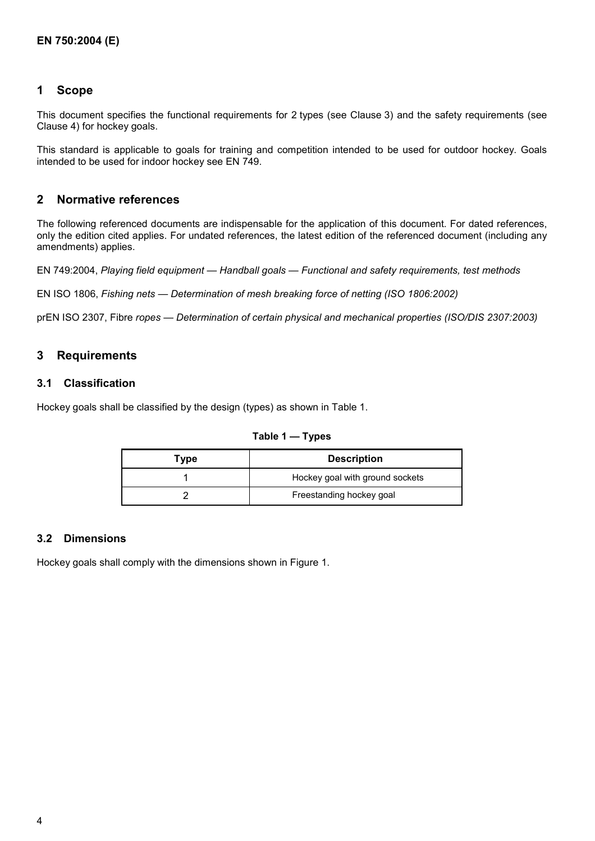#### **1 Scope**

This document specifies the functional requirements for 2 types (see Clause 3) and the safety requirements (see Clause 4) for hockey goals.

This standard is applicable to goals for training and competition intended to be used for outdoor hockey. Goals intended to be used for indoor hockey see EN 749.

#### **2 Normative references**

The following referenced documents are indispensable for the application of this document. For dated references, only the edition cited applies. For undated references, the latest edition of the referenced document (including any amendments) applies.

EN 749:2004, *Playing field equipment — Handball goals — Functional and safety requirements, test methods*

EN ISO 1806, *Fishing nets — Determination of mesh breaking force of netting (ISO 1806:2002)*

prEN ISO 2307, Fibre *ropes — Determination of certain physical and mechanical properties (ISO/DIS 2307:2003)*

#### **3 Requirements**

#### **3.1 Classification**

Hockey goals shall be classified by the design (types) as shown in Table 1.

| Type | <b>Description</b>              |
|------|---------------------------------|
|      | Hockey goal with ground sockets |
|      | Freestanding hockey goal        |

**Table 1 — Types** 

#### **3.2 Dimensions**

Hockey goals shall comply with the dimensions shown in Figure 1.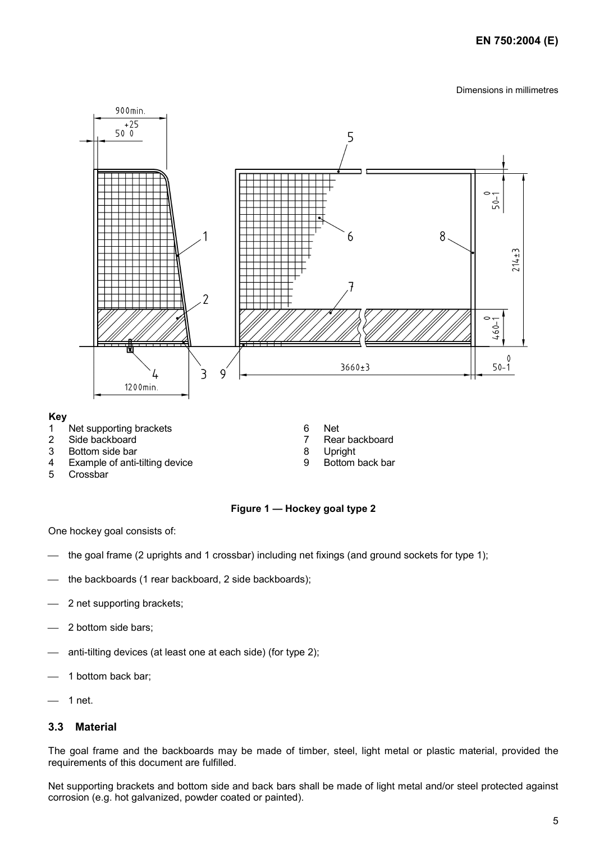#### **EN 750:2004 (E)**

Dimensions in millimetres



- 4 Example of anti-tilting device
- 5 Crossbar

**Key** 

**Figure 1 — Hockey goal type 2** 

One hockey goal consists of:

- the goal frame (2 uprights and 1 crossbar) including net fixings (and ground sockets for type 1);
- the backboards (1 rear backboard, 2 side backboards);
- 2 net supporting brackets;
- 2 bottom side bars;
- anti-tilting devices (at least one at each side) (for type 2);
- 1 bottom back bar;
- 1 net.

#### **3.3 Material**

The goal frame and the backboards may be made of timber, steel, light metal or plastic material, provided the requirements of this document are fulfilled.

Net supporting brackets and bottom side and back bars shall be made of light metal and/or steel protected against corrosion (e.g. hot galvanized, powder coated or painted).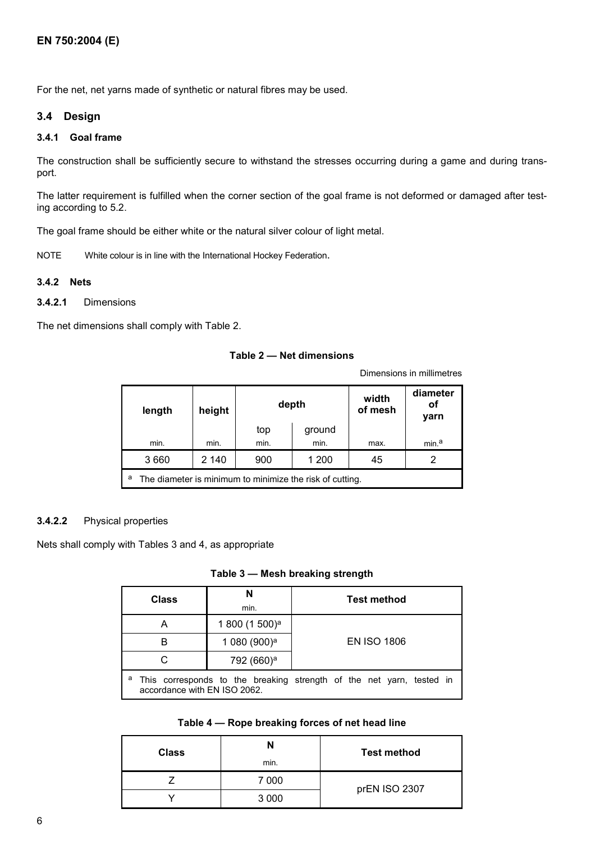For the net, net yarns made of synthetic or natural fibres may be used.

#### **3.4 Design**

#### **3.4.1 Goal frame**

The construction shall be sufficiently secure to withstand the stresses occurring during a game and during transport.

The latter requirement is fulfilled when the corner section of the goal frame is not deformed or damaged after testing according to 5.2.

The goal frame should be either white or the natural silver colour of light metal.

NOTE White colour is in line with the International Hockey Federation.

#### **3.4.2 Nets**

**3.4.2.1** Dimensions

The net dimensions shall comply with Table 2.

#### **Table 2 — Net dimensions**

Dimensions in millimetres

| length                                                        | height | depth |        | width<br>of mesh | diameter<br>οf<br>yarn |  |
|---------------------------------------------------------------|--------|-------|--------|------------------|------------------------|--|
|                                                               |        | top   | ground |                  |                        |  |
| min.                                                          | min.   | min.  | min.   | max.             | min. <sup>a</sup>      |  |
| 3660                                                          | 2 140  | 900   | 1 200  | 45               |                        |  |
| а<br>The diameter is minimum to minimize the risk of cutting. |        |       |        |                  |                        |  |

#### **3.4.2.2** Physical properties

Nets shall comply with Tables 3 and 4, as appropriate

**Table 3 — Mesh breaking strength** 

| <b>Class</b>                                                                                              | N<br>min.                  | <b>Test method</b> |  |  |  |
|-----------------------------------------------------------------------------------------------------------|----------------------------|--------------------|--|--|--|
| А                                                                                                         | 1 800 (1 500) <sup>a</sup> |                    |  |  |  |
| В                                                                                                         | 1 080 (900) <sup>a</sup>   | <b>EN ISO 1806</b> |  |  |  |
|                                                                                                           | 792 (660) <sup>a</sup>     |                    |  |  |  |
| а<br>This corresponds to the breaking strength of the net yarn, tested in<br>accordance with EN ISO 2062. |                            |                    |  |  |  |

#### **Table 4 — Rope breaking forces of net head line**

| <b>Class</b> | N<br>min. | <b>Test method</b> |  |
|--------------|-----------|--------------------|--|
|              | 7 000     | prEN ISO 2307      |  |
|              | 3 0 0 0   |                    |  |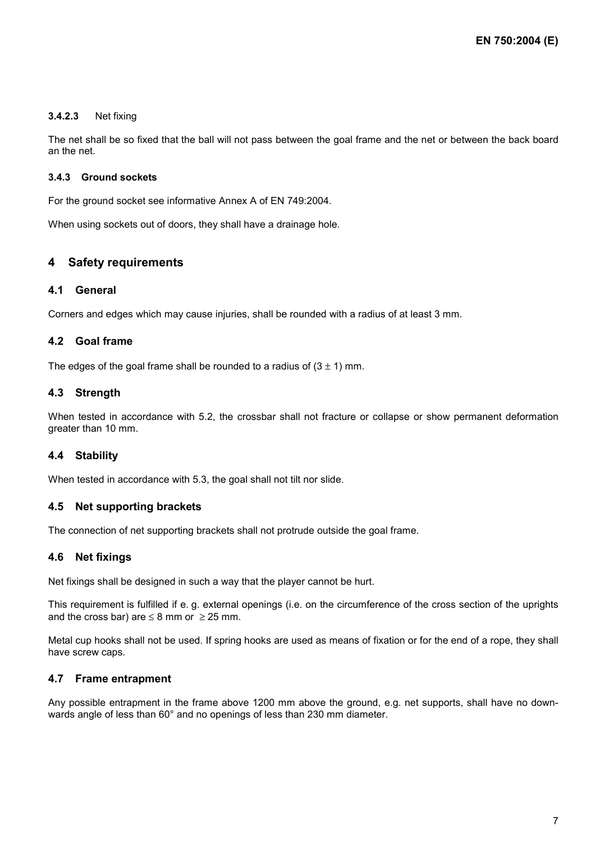#### **3.4.2.3** Net fixing

The net shall be so fixed that the ball will not pass between the goal frame and the net or between the back board an the net.

#### **3.4.3 Ground sockets**

For the ground socket see informative Annex A of EN 749:2004.

When using sockets out of doors, they shall have a drainage hole.

#### **4 Safety requirements**

#### **4.1 General**

Corners and edges which may cause injuries, shall be rounded with a radius of at least 3 mm.

#### **4.2 Goal frame**

The edges of the goal frame shall be rounded to a radius of  $(3 \pm 1)$  mm.

#### **4.3 Strength**

When tested in accordance with 5.2, the crossbar shall not fracture or collapse or show permanent deformation greater than 10 mm.

#### **4.4 Stability**

When tested in accordance with 5.3, the goal shall not tilt nor slide.

#### **4.5 Net supporting brackets**

The connection of net supporting brackets shall not protrude outside the goal frame.

#### **4.6 Net fixings**

Net fixings shall be designed in such a way that the player cannot be hurt.

This requirement is fulfilled if e. g. external openings (i.e. on the circumference of the cross section of the uprights and the cross bar) are  $\leq 8$  mm or  $\geq 25$  mm.

Metal cup hooks shall not be used. If spring hooks are used as means of fixation or for the end of a rope, they shall have screw caps.

#### **4.7 Frame entrapment**

Any possible entrapment in the frame above 1200 mm above the ground, e.g. net supports, shall have no downwards angle of less than 60° and no openings of less than 230 mm diameter.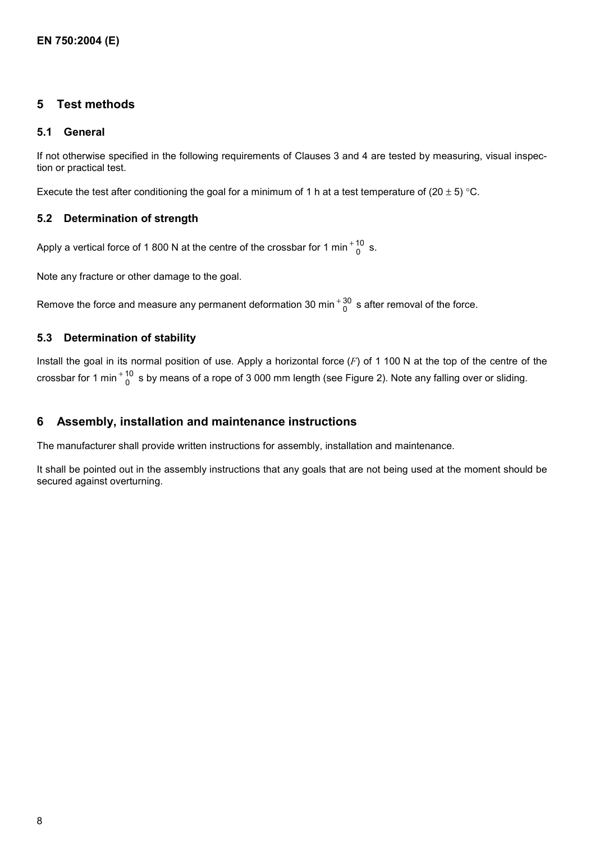#### **5 Test methods**

#### **5.1 General**

If not otherwise specified in the following requirements of Clauses 3 and 4 are tested by measuring, visual inspection or practical test.

Execute the test after conditioning the goal for a minimum of 1 h at a test temperature of  $(20 \pm 5)$  °C.

#### **5.2 Determination of strength**

Apply a vertical force of 1 800 N at the centre of the crossbar for 1 min  $^{+ \, 10}_{- \, 0}$  s.

Note any fracture or other damage to the goal.

Remove the force and measure any permanent deformation 30 min $^{+\,30}_{-\,0}$  s after removal of the force.

#### **5.3 Determination of stability**

Install the goal in its normal position of use. Apply a horizontal force (*F*) of 1 100 N at the top of the centre of the crossbar for 1 min $^{+ \, 10}_{\quad \, 0}$  s by means of a rope of 3 000 mm length (see Figure 2). Note any falling over or sliding.

#### **6 Assembly, installation and maintenance instructions**

The manufacturer shall provide written instructions for assembly, installation and maintenance.

It shall be pointed out in the assembly instructions that any goals that are not being used at the moment should be secured against overturning.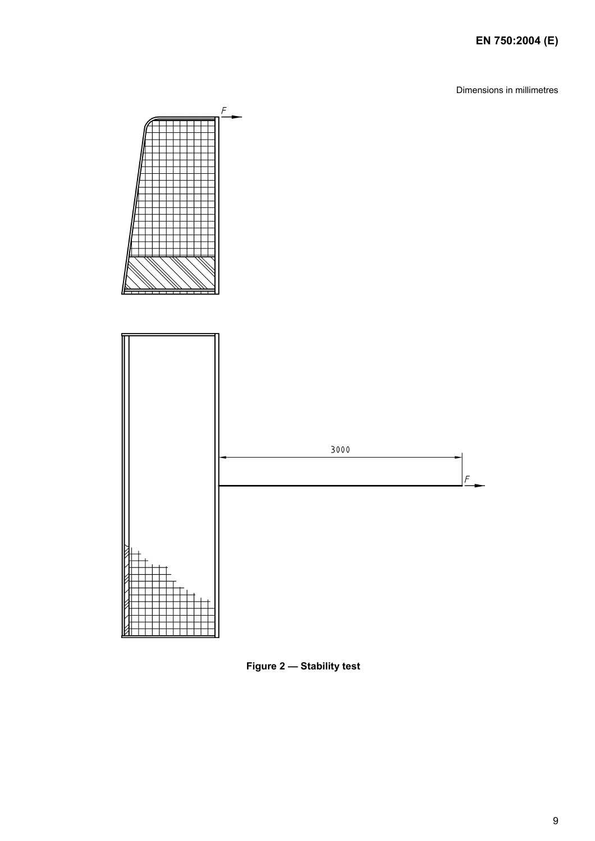Dimensions in millimetres





9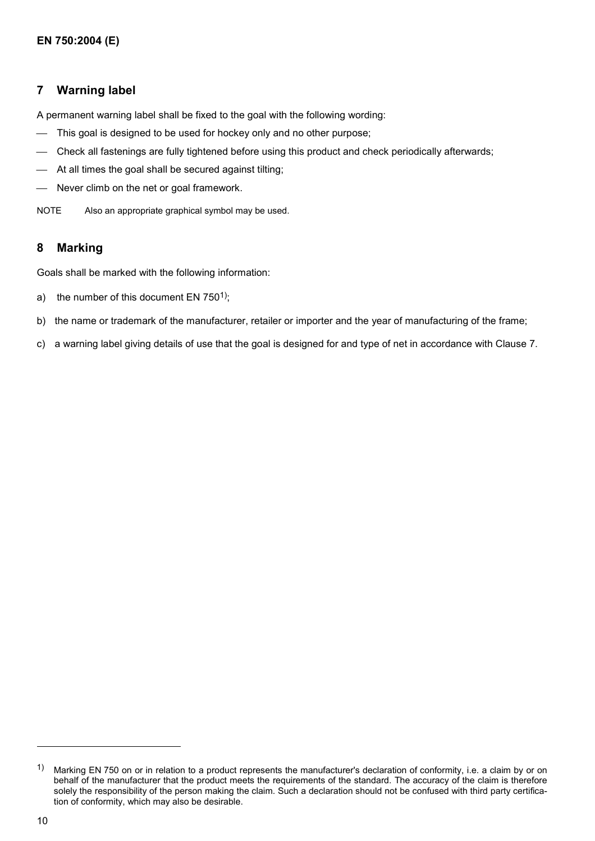#### **7 Warning label**

A permanent warning label shall be fixed to the goal with the following wording:

- This goal is designed to be used for hockey only and no other purpose;
- Check all fastenings are fully tightened before using this product and check periodically afterwards;
- At all times the goal shall be secured against tilting;
- Never climb on the net or goal framework.

NOTE Also an appropriate graphical symbol may be used.

#### **8 Marking**

Goals shall be marked with the following information:

- a) the number of this document EN  $750<sup>1</sup>$ ;
- b) the name or trademark of the manufacturer, retailer or importer and the year of manufacturing of the frame;
- c) a warning label giving details of use that the goal is designed for and type of net in accordance with Clause 7.

l

<sup>1)</sup> Marking EN 750 on or in relation to a product represents the manufacturer's declaration of conformity, i.e. a claim by or on behalf of the manufacturer that the product meets the requirements of the standard. The accuracy of the claim is therefore solely the responsibility of the person making the claim. Such a declaration should not be confused with third party certification of conformity, which may also be desirable.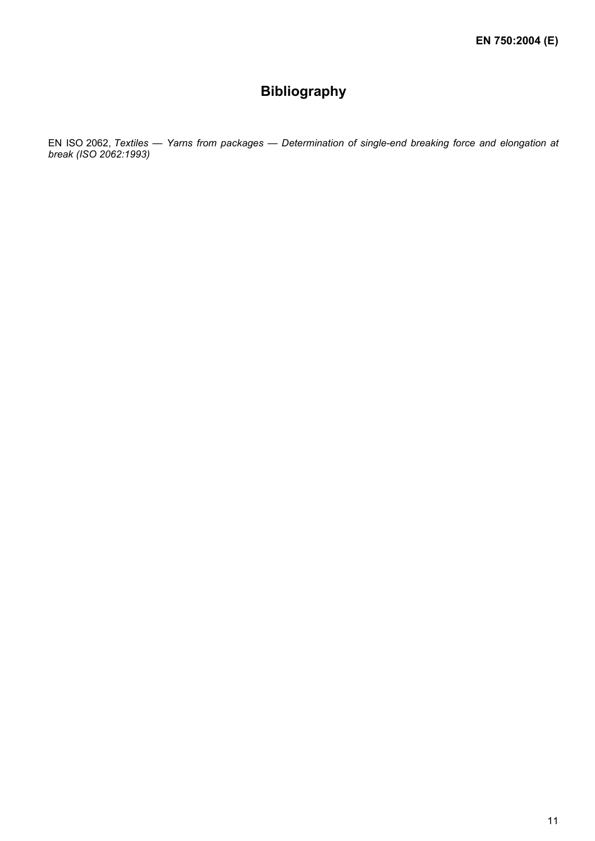## **Bibliography**

EN ISO 2062, *Textiles — Yarns from packages — Determination of single-end breaking force and elongation at break (ISO 2062:1993)*